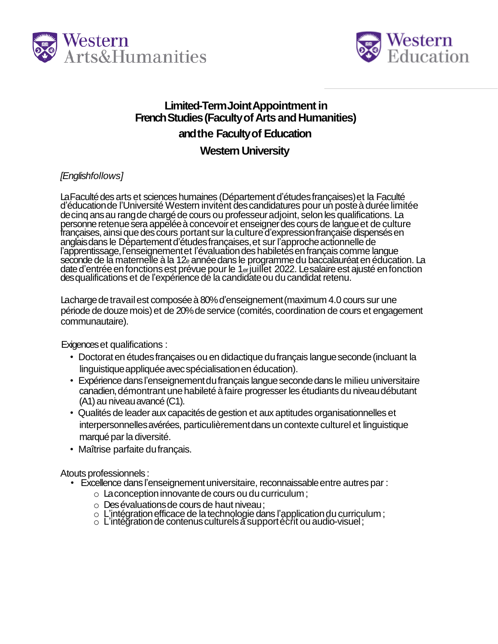



# Limited-Term Joint Appointment in **French Studies (Faculty of Arts and Humanities)** and the Faculty of Education

## **Western University**

### [Englishfollows]

La Faculté des arts et sciences humaines (Département d'études françaises) et la Faculté<br>d'éducation de l'Université Western invitent des candidatures pour un poste à durée limitée<br>de cinq ans au rang de chargé de cours ou

Lacharge de travail est composée à 80% d'enseignement (maximum 4.0 cours sur une période de douze mois) et de 20% de service (comités, coordination de cours et engagement communautaire).

Exigences et qualifications :

- Doctorat en études françaises ou en didactique du français langue seconde (incluant la linguistique appliquée avec spécialisation en éducation).
- · Expérience dans l'enseignement du français langue seconde dans le milieu universitaire canadien, démontrant une habileté à faire progresser les étudiants du niveau débutant (A1) au niveau avancé (C1).
- Qualités de leader aux capacités de gestion et aux aptitudes organisationnelles et interpersonnelles avérées, particulièrement dans un contexte culturel et linguistique marqué par la diversité.
- Maîtrise parfaite du français.

Atouts professionnels:

- Excellence dans l'enseignement universitaire, reconnaissable entre autres par :
	- $\circ$  La conception innovante de cours ou du curriculum;
	- o Des évaluations de cours de haut niveau;
	- O L'intégration efficace de la technologie dans l'application du curriculum;<br>O L'intégration de contenus culturels à support écrit ou audio-visuel;
	-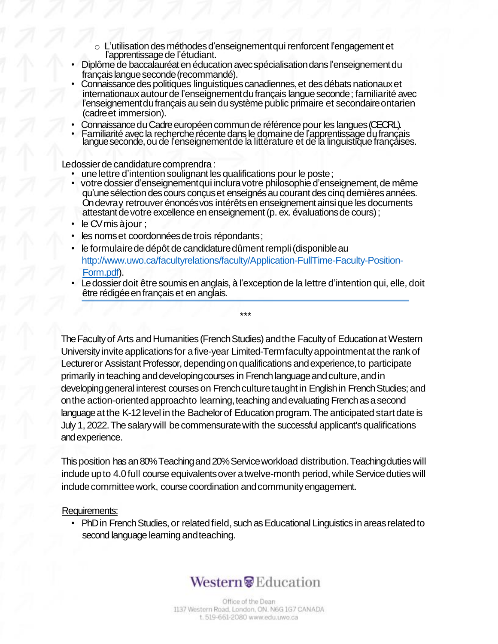- o L'utilisation des méthodes d'enseignement qui renforcent l'engagement et<br>l'apprentissage de l'étudiant.
- Diplôme de baccalauréat en éducation avec spécialisation dans l'enseignement du français langue seconde (recommandé).
- Connaissance des politiques linguistiques canadiennes, et des débats nationaux et internationaux autour de l'enseignement du français langue seconde ; familiarité avec l'enseignement du français au sein du système public primaire et secondaire ontarien (cadre et immersion).
- Connaissance du Cadre européen commun de référence pour les langues (CECRL).
- Familiarité avec la recherche récente dans le domaine de l'apprentissage du français<br>langue seconde, ou de l'enseignement de la littérature et de la linguistique françaises.

Ledossier de candidature comprendra :

- 
- une lettre d'intention soulignant les qualifications pour le poste ;<br>votre dossier d'enseignement qui inclura votre philosophie d'enseignement, de même qu'une sélection des cours conçus et enseignés au courant des cing dernières années. On devray retrouver énoncés vos intérêts en enseignement ainsi que les documents attestant de votre excellence en enseignement (p. ex. évaluations de cours);
- le CV mis à jour ;
- les noms et coordonnées de trois répondants;
- le formulaire de dépôt de candidature dûment rempli (disponible au http://www.uwo.ca/facultyrelations/faculty/Application-FullTime-Faculty-Position-Form.pdf).
- Le dossier doit être soumis en anglais, à l'exception de la lettre d'intention qui, elle, doit être rédigée en français et en anglais.

 $***$ 

The Faculty of Arts and Humanities (French Studies) and the Faculty of Education at Western University invite applications for a five-year Limited-Termfaculty appointment at the rank of Lecturer or Assistant Professor, depending on qualifications and experience, to participate primarily in teaching and developing courses in French language and culture, and in developing general interest courses on French culture taught in English in French Studies; and on the action-oriented approach to learning, teaching and evaluating French as a second language at the K-12 level in the Bachelor of Education program. The anticipated start date is July 1, 2022. The salary will be commensurate with the successful applicant's qualifications and experience.

This position has an 80% Teaching and 20% Service workload distribution. Teaching duties will include up to 4.0 full course equivalents over a twelve-month period, while Service duties will include committee work, course coordination and community engagement.

#### Requirements:

• PhD in French Studies, or related field, such as Educational Linguistics in areas related to second language learning and teaching.

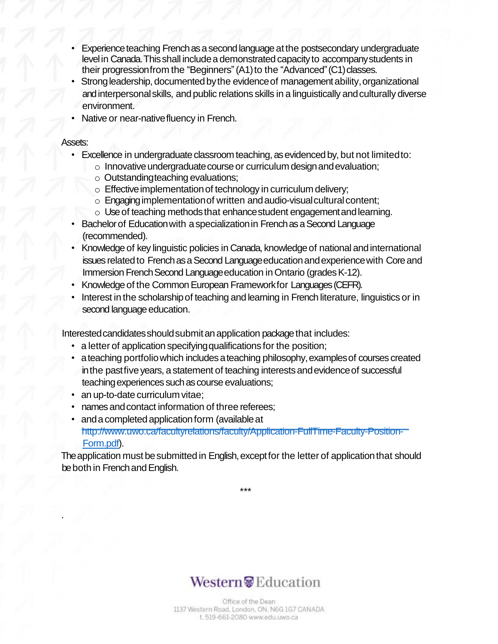- Experience teaching French as a second language at the postsecondary undergraduate level in Canada. This shall include a demonstrated capacity to accompany students in their progression from the "Beginners" (A1) to the "Advanced" (C1) classes.
- Strong leadership, documented by the evidence of management ability, organizational and interpersonal skills, and public relations skills in a linguistically and culturally diverse environment.
- Native or near-nativefluency in French.

#### Assets:

.

- Excellence in undergraduate classroom teaching, as evidenced by, but not limited to:
	- $\circ$  Innovative undergraduate course or curriculum design and evaluation;
	- o Outstandingteaching evaluations;
	- $\circ$  Effective implementation of technology in curriculum delivery;
	- $\circ$  Engaging implementation of written and audio-visual cultural content;
	- $\circ$  Use of teaching methods that enhance student engagement and learning.
- Bachelor of Education with a specialization in French as a Second Language (recommended).
- Knowledge of key linguistic policies in Canada, knowledge of national and international issues related to French as a Second Language education and experience with Core and Immersion French Second Language education in Ontario (grades K-12).
- Knowledge of the Common European Frameworkfor Languages (CEFR).
- Interest in the scholarship of teaching and learning in French literature, linguistics or in second language education.

Interested candidates should submit an application package that includes:

- a letter of application specifying qualifications for the position;
- a teaching portfolio which includes a teaching philosophy, examples of courses created in the past five years, a statement of teaching interests and evidence of successful teaching experiences such as course evaluations;
- an up-to-date curriculum vitae;
- hames and contact information of three referees;
- and a completed application form (available at http://www.uwo.ca/facultyrelations/faculty/Application-FullTime-Faculty-Position-Form.pdf).

The application must be submitted in English, except for the letter of application that should be both in French and English.

\*\*\*

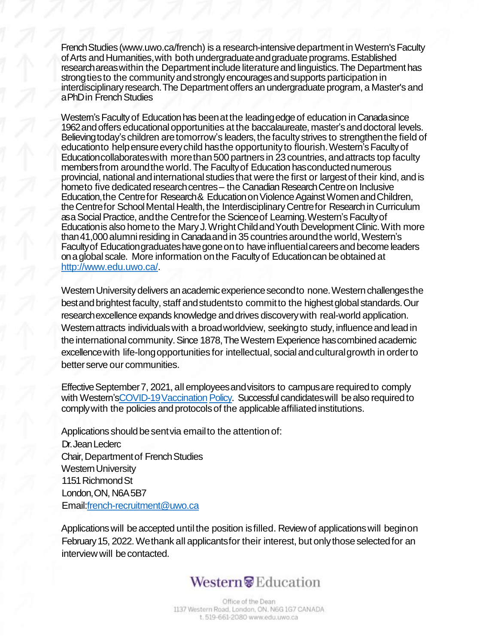French Studies (www.uwo.ca/french) is a research-intensive department in Western's Faculty of Arts and Humanities, with both undergraduate and graduate programs. Established researchareaswithin the Departmentinclude literatureandlinguistics.The Department has strong ties to the community and strongly encourages and supports participation in interdisciplinary research. The Department offers an undergraduate program, a Master's and a PhD in French Studies

Western's Faculty of Education has been at the leading edge of education in Canada since 1962 and offers educational opportunities at the baccalaureate, master's and doctoral levels. Believing today's children are tomorrow's leaders, the faculty strives to strengthen the field of educationto help ensure every child hasthe opportunity to flourish. Western's Faculty of Education collaborates with more than 500 partners in 23 countries, and attracts top faculty members from around the world. The Faculty of Education has conducted numerous provincial, national and international studies that were the first or largest of their kind, and is hometo five dedicated research centres – the Canadian Research Centre on Inclusive Education, the Centrefor Research & Education on Violence Against Women and Children, the Centrefor School Mental Health, the Interdisciplinary Centrefor Research in Curriculum asaSocialPractice, andthe Centrefor the Scienceof Learning.Western'sFacultyof Educationis also hometo the MaryJ.WrightChildandYouth Development Clinic.With more than 41,000 alumni residing in Canada and in 35 countries around the world, Western's Faculty of Education graduates have gone on to have influential careers and become leaders onaglobal scale. More information onthe Facultyof Educationcan beobtained at http://www.edu.uwo.ca/.

Western University delivers an academic experience second to none. Western challenges the best and brightest faculty, staff and studentsto committo the highest global standards. Our researchexcellence expands knowledge and drives discovery with real-world application. Westernattracts individuals with a broad worldview, seekingto study, influence and lead in the international community. Since 1878, The Western Experience has combined academic excellence with life-long opportunities for intellectual, social and cultural growth in order to better serve our communities.

Effective September 7, 2021, all employees and visitors to campus are required to comply with Western'sCOVID-19 Vaccination Policy. Successful candidates will be also required to comply with the policies and protocols of the applicable affiliated institutions.

Applications should be sent via email to the attention of: Dr.JeanLeclerc Chair, Department of French Studies Western University 1151 Richmond St London, ON, N6A5B7 Email:french-recruitment@uwo.ca

Applications will be accepted until the position is filled. Review of applications will beginon February 15, 2022. We thank all applicants for their interest, but only those selected for an interview will becontacted.

# Western<sup>®</sup> Education